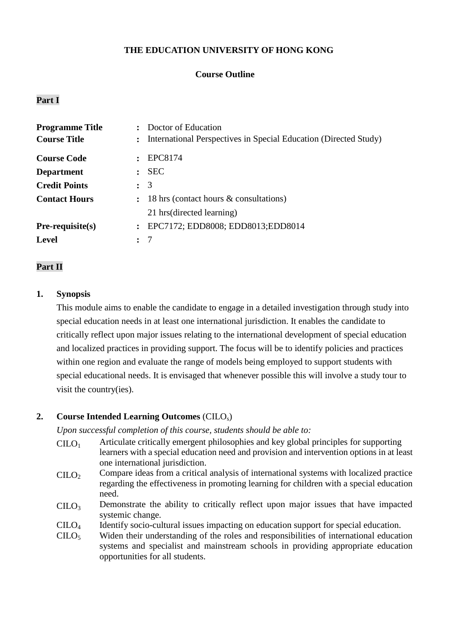### **THE EDUCATION UNIVERSITY OF HONG KONG**

### **Course Outline**

### **Part I**

| <b>Programme Title</b> | Doctor of Education                                                              |
|------------------------|----------------------------------------------------------------------------------|
| <b>Course Title</b>    | International Perspectives in Special Education (Directed Study)<br>$\mathbf{L}$ |
| <b>Course Code</b>     | EPC8174                                                                          |
| <b>Department</b>      | <b>SEC</b><br>$\mathbf{r}$                                                       |
| <b>Credit Points</b>   | $\colon$ 3                                                                       |
| <b>Contact Hours</b>   | 18 hrs (contact hours & consultations)<br>$\ddot{\phantom{a}}$                   |
|                        | 21 hrs (directed learning)                                                       |
| $Pre-requisite(s)$     | : EPC7172; EDD8008; EDD8013; EDD8014                                             |
| <b>Level</b>           | -7<br>$\mathbf{r}$                                                               |

#### **Part II**

#### **1. Synopsis**

This module aims to enable the candidate to engage in a detailed investigation through study into special education needs in at least one international jurisdiction. It enables the candidate to critically reflect upon major issues relating to the international development of special education and localized practices in providing support. The focus will be to identify policies and practices within one region and evaluate the range of models being employed to support students with special educational needs. It is envisaged that whenever possible this will involve a study tour to visit the country(ies).

#### **2. Course Intended Learning Outcomes** (CILOs)

*Upon successful completion of this course, students should be able to:*

- CILO<sup>1</sup> Articulate critically emergent philosophies and key global principles for supporting learners with a special education need and provision and intervention options in at least one international jurisdiction.
- $\text{CHO}_2$  Compare ideas from a critical analysis of international systems with localized practice regarding the effectiveness in promoting learning for children with a special education need.
- $C I L O<sub>3</sub>$  Demonstrate the ability to critically reflect upon major issues that have impacted systemic change.
- CILO<sup>4</sup> Identify socio-cultural issues impacting on education support for special education.
- $C ILO<sub>5</sub>$ Widen their understanding of the roles and responsibilities of international education systems and specialist and mainstream schools in providing appropriate education opportunities for all students.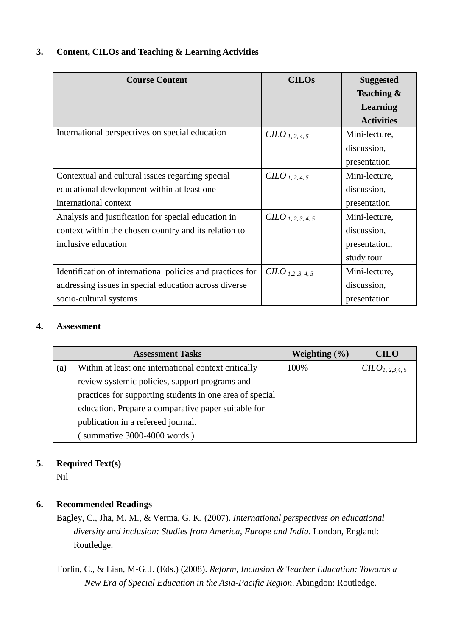## **3. Content, CILOs and Teaching & Learning Activities**

| <b>Course Content</b>                                      | <b>CILOs</b>                  | <b>Suggested</b>  |
|------------------------------------------------------------|-------------------------------|-------------------|
|                                                            |                               | Teaching &        |
|                                                            |                               | <b>Learning</b>   |
|                                                            |                               | <b>Activities</b> |
| International perspectives on special education            | $CHO_{1, 2, 4, 5}$            | Mini-lecture,     |
|                                                            |                               | discussion,       |
|                                                            |                               | presentation      |
| Contextual and cultural issues regarding special           | $CHO_{1, 2, 4, 5}$            | Mini-lecture,     |
| educational development within at least one                |                               | discussion,       |
| international context                                      |                               | presentation      |
| Analysis and justification for special education in        | CILO <sub>1, 2, 3, 4, 5</sub> | Mini-lecture,     |
| context within the chosen country and its relation to      |                               | discussion,       |
| inclusive education                                        |                               | presentation,     |
|                                                            |                               | study tour        |
| Identification of international policies and practices for | $CHLO_{1,2,3,4,5}$            | Mini-lecture,     |
| addressing issues in special education across diverse      |                               | discussion,       |
| socio-cultural systems                                     |                               | presentation      |

## **4. Assessment**

| <b>Assessment Tasks</b>                             |                                                          | Weighting $(\% )$ | <b>CILO</b>        |
|-----------------------------------------------------|----------------------------------------------------------|-------------------|--------------------|
| (a)                                                 | Within at least one international context critically     | 100%              | $CLO_{l. 2.3.4.5}$ |
|                                                     | review systemic policies, support programs and           |                   |                    |
|                                                     | practices for supporting students in one area of special |                   |                    |
| education. Prepare a comparative paper suitable for |                                                          |                   |                    |
| publication in a refereed journal.                  |                                                          |                   |                    |
|                                                     | summative 3000-4000 words)                               |                   |                    |

# **5. Required Text(s)**

Nil

# **6. Recommended Readings**

Bagley, C., Jha, M. M., & Verma, G. K. (2007). *International perspectives on educational diversity and inclusion: Studies from America, Europe and India*. London, England: Routledge.

Forlin, C., & Lian, M-G. J. (Eds.) (2008). *Reform, Inclusion & Teacher Education: Towards a New Era of Special Education in the Asia-Pacific Region*. Abingdon: Routledge.